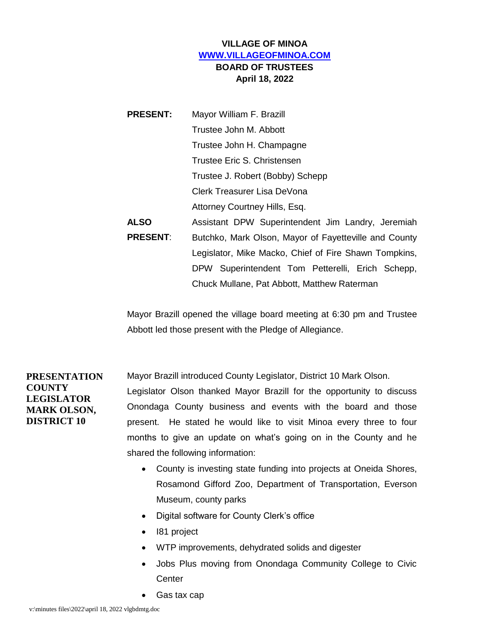# **VILLAGE OF MINOA [WWW.VILLAGEOFMINOA.COM](http://www.villageofminoa.com/) BOARD OF TRUSTEES April 18, 2022**

| <b>PRESENT:</b> | Mayor William F. Brazill                              |
|-----------------|-------------------------------------------------------|
|                 | Trustee John M. Abbott                                |
|                 | Trustee John H. Champagne                             |
|                 | Trustee Eric S. Christensen                           |
|                 | Trustee J. Robert (Bobby) Schepp                      |
|                 | Clerk Treasurer Lisa DeVona                           |
|                 | Attorney Courtney Hills, Esq.                         |
| <b>ALSO</b>     | Assistant DPW Superintendent Jim Landry, Jeremiah     |
| <b>PRESENT:</b> | Butchko, Mark Olson, Mayor of Fayetteville and County |
|                 | Legislator, Mike Macko, Chief of Fire Shawn Tompkins, |
|                 | DPW Superintendent Tom Petterelli, Erich Schepp,      |
|                 | Chuck Mullane, Pat Abbott, Matthew Raterman           |

Mayor Brazill opened the village board meeting at 6:30 pm and Trustee Abbott led those present with the Pledge of Allegiance.

**PRESENTATION COUNTY LEGISLATOR MARK OLSON, DISTRICT 10**

Mayor Brazill introduced County Legislator, District 10 Mark Olson.

Legislator Olson thanked Mayor Brazill for the opportunity to discuss Onondaga County business and events with the board and those present. He stated he would like to visit Minoa every three to four months to give an update on what's going on in the County and he shared the following information:

- County is investing state funding into projects at Oneida Shores, Rosamond Gifford Zoo, Department of Transportation, Everson Museum, county parks
- Digital software for County Clerk's office
- I81 project
- WTP improvements, dehydrated solids and digester
- Jobs Plus moving from Onondaga Community College to Civic **Center**
- Gas tax cap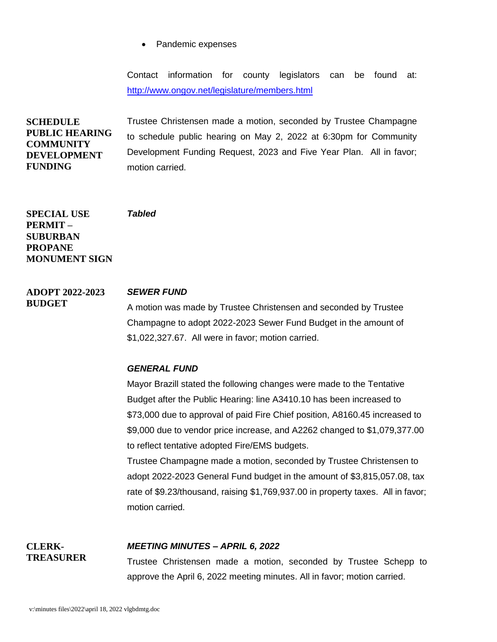• Pandemic expenses

Contact information for county legislators can be found at: <http://www.ongov.net/legislature/members.html>

**SCHEDULE PUBLIC HEARING COMMUNITY DEVELOPMENT FUNDING** Trustee Christensen made a motion, seconded by Trustee Champagne to schedule public hearing on May 2, 2022 at 6:30pm for Community Development Funding Request, 2023 and Five Year Plan. All in favor; motion carried.

**SPECIAL USE PERMIT – SUBURBAN PROPANE MONUMENT SIGN**

**BUDGET**

**CLERK-TREASURER**

#### **ADOPT 2022-2023**  *SEWER FUND*

*Tabled*

A motion was made by Trustee Christensen and seconded by Trustee Champagne to adopt 2022-2023 Sewer Fund Budget in the amount of \$1,022,327.67. All were in favor; motion carried.

# *GENERAL FUND*

Mayor Brazill stated the following changes were made to the Tentative Budget after the Public Hearing: line A3410.10 has been increased to \$73,000 due to approval of paid Fire Chief position, A8160.45 increased to \$9,000 due to vendor price increase, and A2262 changed to \$1,079,377.00 to reflect tentative adopted Fire/EMS budgets.

Trustee Champagne made a motion, seconded by Trustee Christensen to adopt 2022-2023 General Fund budget in the amount of \$3,815,057.08, tax rate of \$9.23/thousand, raising \$1,769,937.00 in property taxes. All in favor; motion carried.

# *MEETING MINUTES – APRIL 6, 2022*

Trustee Christensen made a motion, seconded by Trustee Schepp to approve the April 6, 2022 meeting minutes. All in favor; motion carried.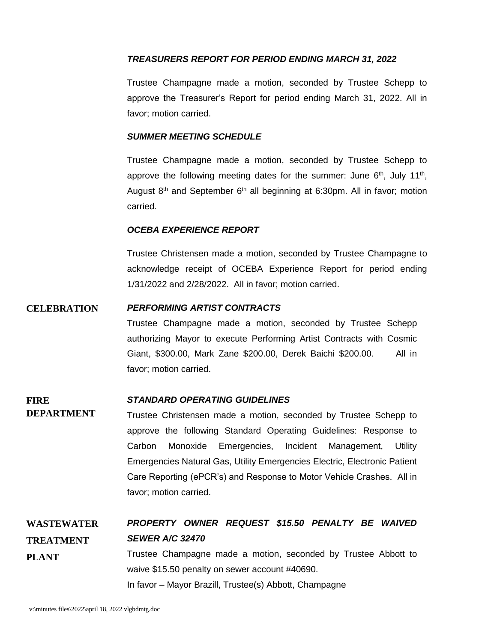# *TREASURERS REPORT FOR PERIOD ENDING MARCH 31, 2022*

Trustee Champagne made a motion, seconded by Trustee Schepp to approve the Treasurer's Report for period ending March 31, 2022. All in favor; motion carried.

### *SUMMER MEETING SCHEDULE*

Trustee Champagne made a motion, seconded by Trustee Schepp to approve the following meeting dates for the summer: June  $6<sup>th</sup>$ , July 11<sup>th</sup>, August  $8<sup>th</sup>$  and September  $6<sup>th</sup>$  all beginning at 6:30pm. All in favor; motion carried.

### *OCEBA EXPERIENCE REPORT*

Trustee Christensen made a motion, seconded by Trustee Champagne to acknowledge receipt of OCEBA Experience Report for period ending 1/31/2022 and 2/28/2022. All in favor; motion carried.

# **CELEBRATION** *PERFORMING ARTIST CONTRACTS*

Trustee Champagne made a motion, seconded by Trustee Schepp authorizing Mayor to execute Performing Artist Contracts with Cosmic Giant, \$300.00, Mark Zane \$200.00, Derek Baichi \$200.00. All in favor; motion carried.

#### **FIRE**  *STANDARD OPERATING GUIDELINES*

**DEPARTMENT** Trustee Christensen made a motion, seconded by Trustee Schepp to approve the following Standard Operating Guidelines: Response to Carbon Monoxide Emergencies, Incident Management, Utility Emergencies Natural Gas, Utility Emergencies Electric, Electronic Patient Care Reporting (ePCR's) and Response to Motor Vehicle Crashes. All in favor; motion carried.

**WASTEWATER TREATMENT PLANT** *PROPERTY OWNER REQUEST \$15.50 PENALTY BE WAIVED SEWER A/C 32470* Trustee Champagne made a motion, seconded by Trustee Abbott to waive \$15.50 penalty on sewer account #40690. In favor – Mayor Brazill, Trustee(s) Abbott, Champagne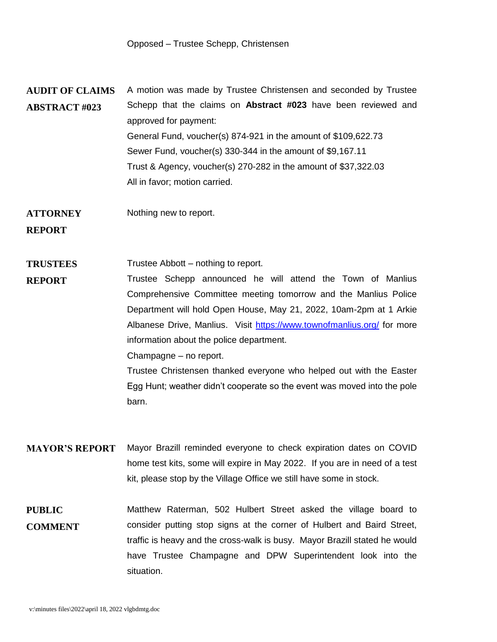**AUDIT OF CLAIMS ABSTRACT #023** A motion was made by Trustee Christensen and seconded by Trustee Schepp that the claims on **Abstract #023** have been reviewed and approved for payment: General Fund, voucher(s) 874-921 in the amount of \$109,622.73 Sewer Fund, voucher(s) 330-344 in the amount of \$9,167.11 Trust & Agency, voucher(s) 270-282 in the amount of \$37,322.03 All in favor; motion carried.

**ATTORNEY REPORT** Nothing new to report.

**TRUSTEES**  Trustee Abbott – nothing to report.

**REPORT** Trustee Schepp announced he will attend the Town of Manlius Comprehensive Committee meeting tomorrow and the Manlius Police Department will hold Open House, May 21, 2022, 10am-2pm at 1 Arkie Albanese Drive, Manlius. Visit<https://www.townofmanlius.org/> for more information about the police department. Champagne – no report.

> Trustee Christensen thanked everyone who helped out with the Easter Egg Hunt; weather didn't cooperate so the event was moved into the pole barn.

- **MAYOR'S REPORT** Mayor Brazill reminded everyone to check expiration dates on COVID home test kits, some will expire in May 2022. If you are in need of a test kit, please stop by the Village Office we still have some in stock.
- **PUBLIC COMMENT** Matthew Raterman, 502 Hulbert Street asked the village board to consider putting stop signs at the corner of Hulbert and Baird Street, traffic is heavy and the cross-walk is busy. Mayor Brazill stated he would have Trustee Champagne and DPW Superintendent look into the situation.